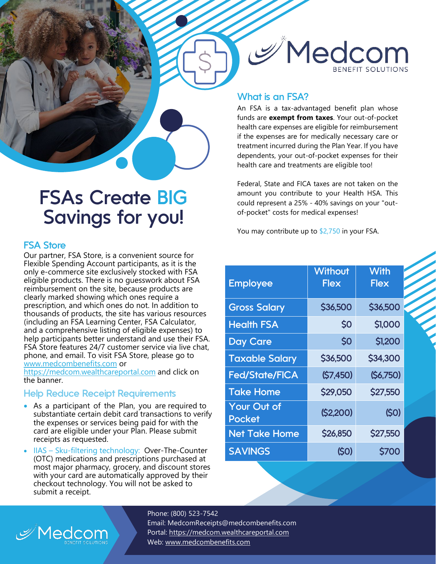

## **What is an FSA?**

An FSA is a tax-advantaged benefit plan whose funds are **exempt from taxes**. Your out-of-pocket health care expenses are eligible for reimbursement if the expenses are for medically necessary care or treatment incurred during the Plan Year. If you have dependents, your out-of-pocket expenses for their health care and treatments are eligible too!

Federal, State and FICA taxes are not taken on the amount you contribute to your Health HSA. This could represent a 25% - 40% savings on your "outof-pocket" costs for medical expenses!

You may contribute up to \$2,750 in your FSA.

| <b>Employee</b>              | Without<br><b>Flex</b> | <b>With</b><br>Flex |
|------------------------------|------------------------|---------------------|
| <b>Gross Salary</b>          | \$36,500               | \$36,500            |
| <b>Health FSA</b>            | \$0                    | \$1,000             |
| <b>Day Care</b>              | \$0                    | \$1,200             |
| <b>Taxable Salary</b>        | \$36,500               | \$34,300            |
| <b>Fed/State/FICA</b>        | (S7,450)               | (S6,750)            |
| <b>Take Home</b>             | <b>\$29,050</b>        | \$27,550            |
| Your Out of<br><b>Pocket</b> | (S2,200)               | (50)                |
| <b>Net Take Home</b>         | \$26,850               | \$27,550            |
| <b>SAVINGS</b>               | (SO)                   | <b>S700</b>         |

 **FSAs Create BIG Savings for you!**

### **FSA Store**

Our partner, FSA Store, is a convenient source for Flexible Spending Account participants, as it is the only e-commerce site exclusively stocked with FSA eligible products. There is no guesswork about FSA reimbursement on the site, because products are clearly marked showing which ones require a prescription, and which ones do not. In addition to thousands of products, the site has various resources (including an FSA Learning Center, FSA Calculator, and a comprehensive listing of eligible expenses) to help participants better understand and use their FSA. FSA Store features 24/7 customer service via live chat, phone, and email. To visit FSA Store, please go to [www.medcombenefits.](http://www.medcombenefits/)com or

[https://medcom.wealthcareportal.com](https://medcom.wealthcareportal.com/) and click on the banner.

### **Help Reduce Receipt Requirements**

 $\mathcal{P}$ Medcom

- As a participant of the Plan, you are required to substantiate certain debit card transactions to verify the expenses or services being paid for with the card are eligible under your Plan. Please submit receipts as requested.
- IIAS Sku-filtering technology: Over-The-Counter (OTC) medications and prescriptions purchased at most major pharmacy, grocery, and discount stores with your card are automatically approved by their checkout technology. You will not be asked to submit a receipt.

Phone: (800) 523-7542 Email: MedcomReceipts@medcombenefits.com

Portal: [https://medcom.wealthcareportal.com](https://medcom.wealthcareportal.com/)

Web: [www.medcombenefits.com](http://www.medcombenefits.com/)